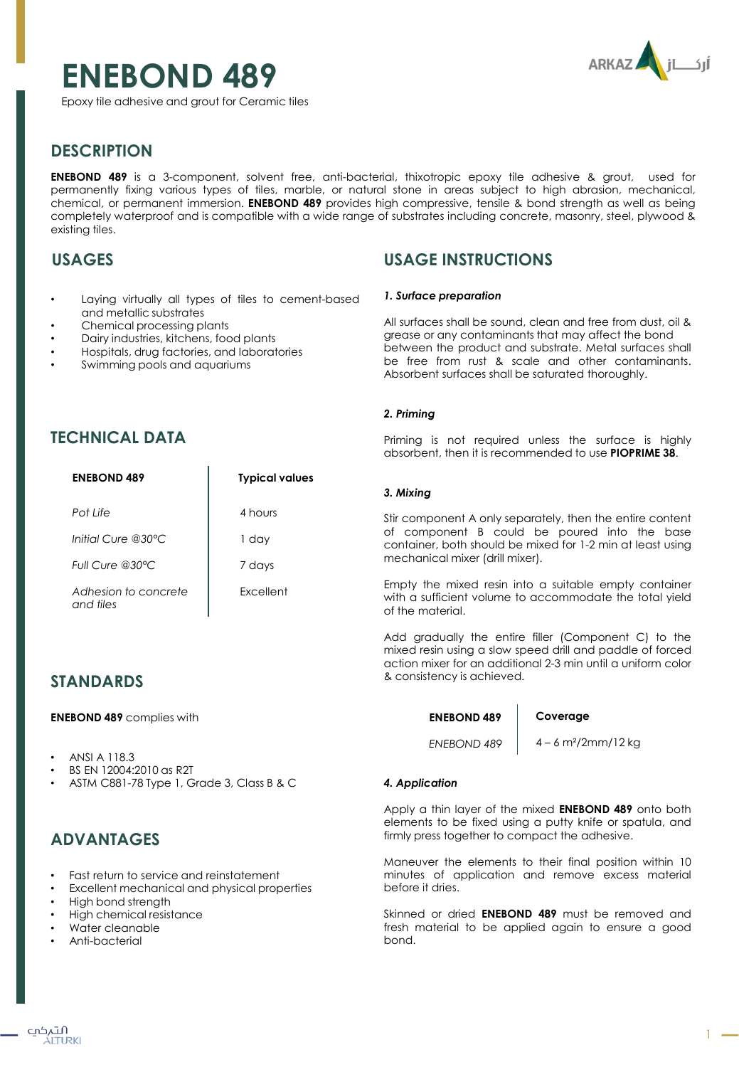# **ENEBOND 489**



Epoxy tile adhesive and grout for Ceramic tiles

# **DESCRIPTION**

**ENEBOND 489** is a 3-component, solvent free, anti-bacterial, thixotropic epoxy tile adhesive & grout, used for permanently fixing various types of tiles, marble, or natural stone in areas subject to high abrasion, mechanical, chemical, or permanent immersion. **ENEBOND 489** provides high compressive, tensile & bond strength as well as being completely waterproof and is compatible with a wide range of substrates including concrete, masonry, steel, plywood & existing tiles.

### **USAGES**

- Laying virtually all types of tiles to cement-based and metallic substrates
- Chemical processing plants
- Dairy industries, kitchens, food plants
- Hospitals, drug factories, and laboratories
- Swimming pools and aquariums

### **USAGE INSTRUCTIONS**

#### *1. Surface preparation*

All surfaces shall be sound, clean and free from dust, oil & grease or any contaminants that may affect the bond between the product and substrate. Metal surfaces shall be free from rust & scale and other contaminants. Absorbent surfaces shall be saturated thoroughly.

#### *2. Priming*

Priming is not required unless the surface is highly absorbent, then it is recommended to use **PIOPRIME 38**.

#### *3. Mixing*

Stir component A only separately, then the entire content of component B could be poured into the base container, both should be mixed for 1-2 min at least using mechanical mixer (drill mixer).

Empty the mixed resin into a suitable empty container with a sufficient volume to accommodate the total yield of the material.

Add gradually the entire filler (Component C) to the mixed resin using a slow speed drill and paddle of forced action mixer for an additional 2-3 min until a uniform color & consistency is achieved.

**ENEBOND 489**

#### **Coverage**

*ENEBOND 489*

#### 4 – 6 m²/2mm/12 kg

### *4. Application*

Apply a thin layer of the mixed **ENEBOND 489** onto both elements to be fixed using a putty knife or spatula, and firmly press together to compact the adhesive.

Maneuver the elements to their final position within 10 minutes of application and remove excess material before it dries.

Skinned or dried **ENEBOND 489** must be removed and fresh material to be applied again to ensure a good bond.

### **TECHNICAL DATA**

| <b>ENEBOND 489</b>                | <b>Typical values</b> |
|-----------------------------------|-----------------------|
| Pot Life                          | 4 hours               |
| Initial Cure @30°C                | 1 day                 |
| Full Cure @30°C                   | 7 days                |
| Adhesion to concrete<br>and tiles | <b>Excellent</b>      |

### **STANDARDS**

**ENEBOND 489** complies with

- ANSI A 118.3
- BS EN 12004:2010 as R2T
- ASTM C881-78 Type 1, Grade 3, Class B & C

### **ADVANTAGES**

- Fast return to service and reinstatement
- Excellent mechanical and physical properties
- High bond strength
- High chemical resistance
- Water cleanable
- Anti-bacterial